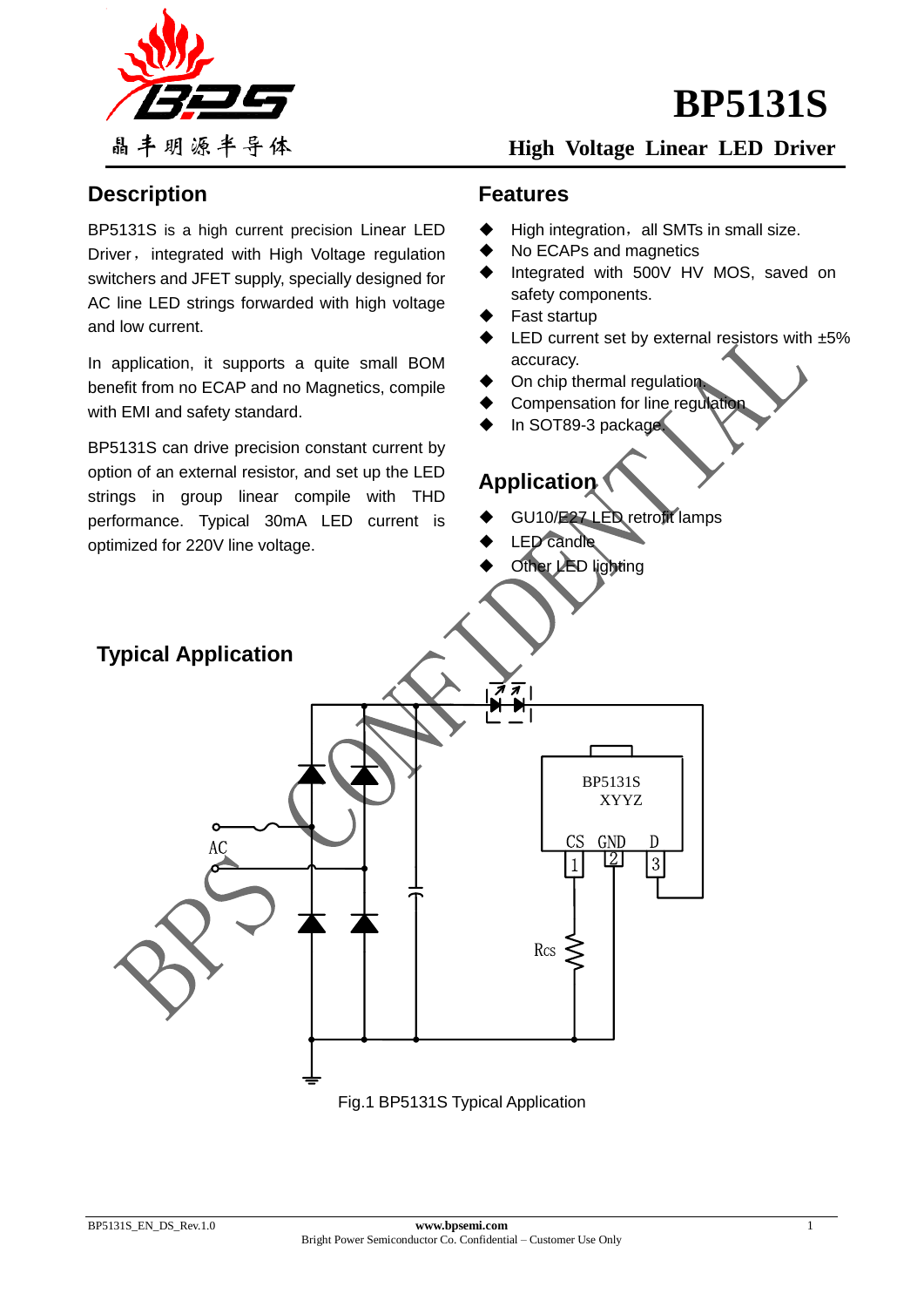



### **High Voltage Linear LED Driver**

### **Description**

BP5131S is a high current precision Linear LED Driver, integrated with High Voltage regulation switchers and JFET supply, specially designed for AC line LED strings forwarded with high voltage and low current.

In application, it supports a quite small BOM benefit from no ECAP and no Magnetics, compile with EMI and safety standard.

BP5131S can drive precision constant current by option of an external resistor, and set up the LED strings in group linear compile with THD performance. Typical 30mA LED current is optimized for 220V line voltage.

### **Features**

- High integration, all SMTs in small size.
- No ECAPs and magnetics
- Integrated with 500V HV MOS, saved on safety components.
- Fast startup
- LED current set by external resistors with ±5% accuracy.
- On chip thermal regulation.
- Compensation for line regulation
- In SOT89-3 package.

# **Application**

- GU10/E27 LED retrofit lamps
- LED candle
- Other LED lighting

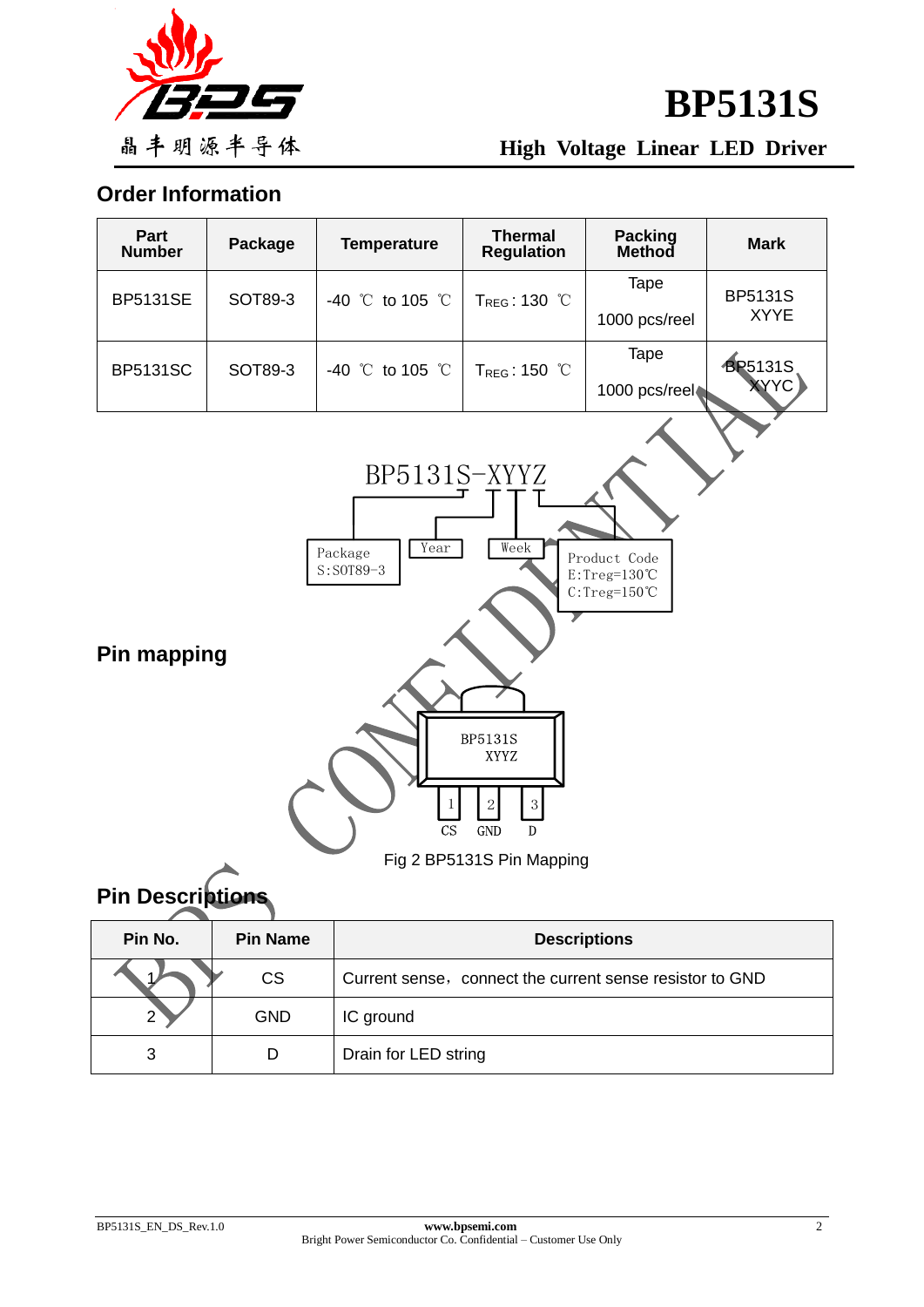

**High Voltage Linear LED Driver**

**Order Information**



# **Pin Descriptions**

| Pin No. | <b>Pin Name</b> | <b>Descriptions</b>                                      |  |  |
|---------|-----------------|----------------------------------------------------------|--|--|
|         | <b>CS</b>       | Current sense, connect the current sense resistor to GND |  |  |
| 2       | <b>GND</b>      | IC ground                                                |  |  |
| 3       | D               | Drain for LED string                                     |  |  |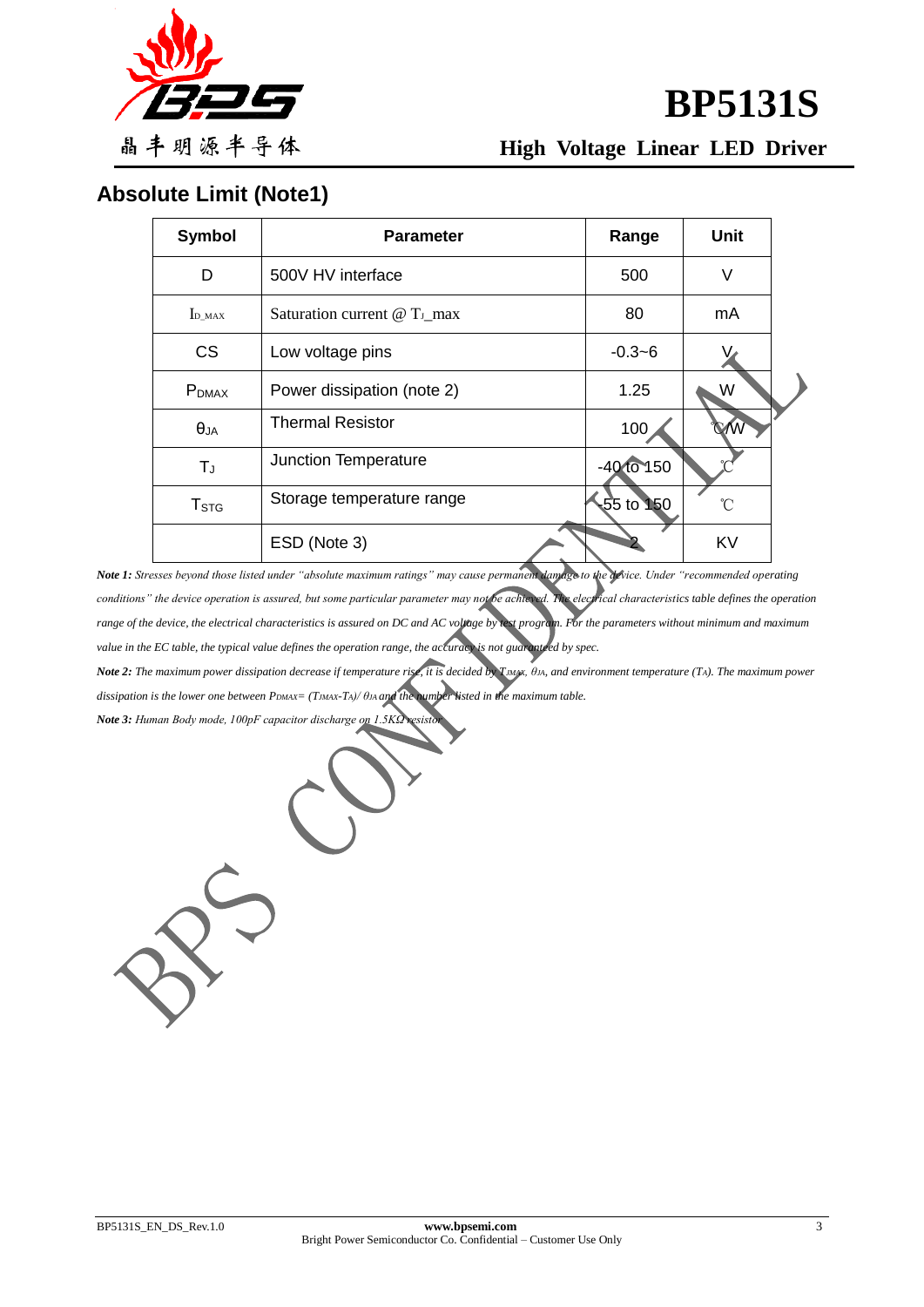

**BP5131S**

**High Voltage Linear LED Driver**

# **Absolute Limit (Note1)**

| <b>Symbol</b>     | <b>Parameter</b>                         | Range          | <b>Unit</b> |  |
|-------------------|------------------------------------------|----------------|-------------|--|
| D                 | 500V HV interface                        | 500            | V           |  |
| $I_{D_MAX}$       | Saturation current @ T <sub>J_</sub> max | 80             | mA          |  |
| <b>CS</b>         | Low voltage pins                         | $-0.3 - 6$     |             |  |
| P <sub>DMAX</sub> | Power dissipation (note 2)               | 1.25           | W           |  |
| $\theta_{JA}$     | <b>Thermal Resistor</b>                  | 100            |             |  |
| $T_{J}$           | Junction Temperature                     | $-40$ to $150$ |             |  |
| T <sub>STG</sub>  | Storage temperature range                | $-55$ to $150$ | °C          |  |
|                   | ESD (Note 3)                             |                | <b>KV</b>   |  |

*Note 1: Stresses beyond those listed under "absolute maximum ratings" may cause permanent damage to the device. Under "recommended operating*  conditions" the device operation is assured, but some particular parameter may not be achieved. The electrical characteristics table defines the operation *range of the device, the electrical characteristics is assured on DC and AC voltage by test program. For the parameters without minimum and maximum value in the EC table, the typical value defines the operation range, the accuracy is not guaranteed by spec.* 

*Note 2: The maximum power dissipation decrease if temperature rise, it is decided by T<sub><i>MAX*</sub>, θ*IA*, and environment temperature (Τ*λ*). The maximum power *dissipation is the lower one between PDMAX= (TJMAX-TA)/ θJA and the number listed in the maximum table.*

*Note 3: Human Body mode, 100pF capacitor discharge on 1.5KΩ resistor*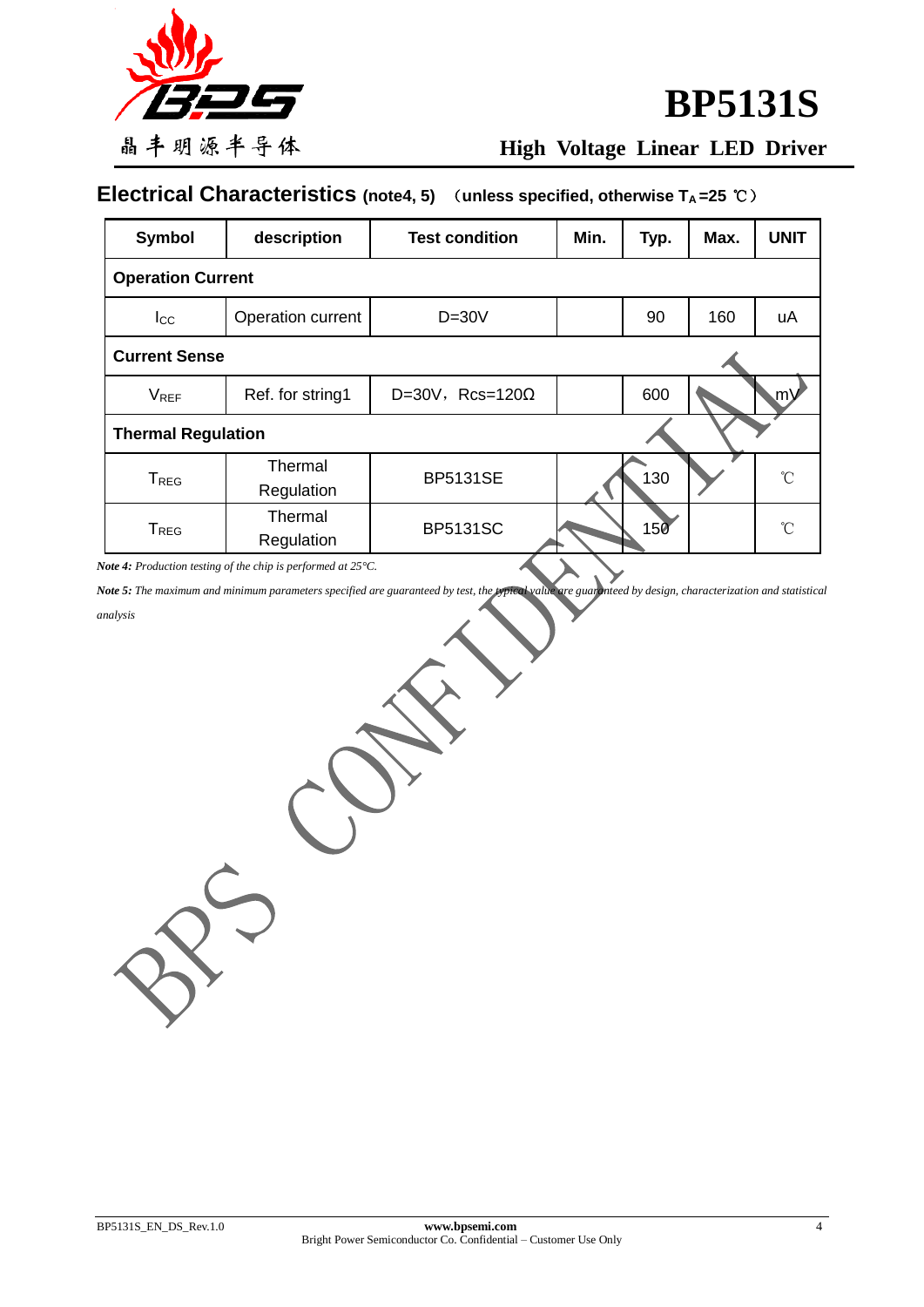

# **BP5131S**

# **High Voltage Linear LED Driver**

# **Electrical Characteristics (note4, 5)** (**unless specified, otherwise TA =25** ℃)

| Symbol                    | description           | <b>Test condition</b>   | Min. | Typ. | Max. | <b>UNIT</b>  |  |  |  |
|---------------------------|-----------------------|-------------------------|------|------|------|--------------|--|--|--|
| <b>Operation Current</b>  |                       |                         |      |      |      |              |  |  |  |
| $_{\text{Lcc}}$           | Operation current     | $D=30V$                 |      | 90   | 160  | uA           |  |  |  |
| <b>Current Sense</b>      |                       |                         |      |      |      |              |  |  |  |
| <b>V<sub>REF</sub></b>    | Ref. for string1      | D=30V, Rcs=120 $\Omega$ |      | 600  |      | .m)          |  |  |  |
| <b>Thermal Regulation</b> |                       |                         |      |      |      |              |  |  |  |
| T <sub>REG</sub>          | Thermal<br>Regulation | <b>BP5131SE</b>         |      | 130  |      | $^{\circ}$ C |  |  |  |
| T <sub>REG</sub>          | Thermal<br>Regulation | <b>BP5131SC</b>         |      | 150  |      | °C           |  |  |  |

*Note 4: Production testing of the chip is performed at 25°C.*

*Note 5: The maximum and minimum parameters specified are guaranteed by test, the typical value are guaranteed by design, characterization and statistical* 

#### *analysis*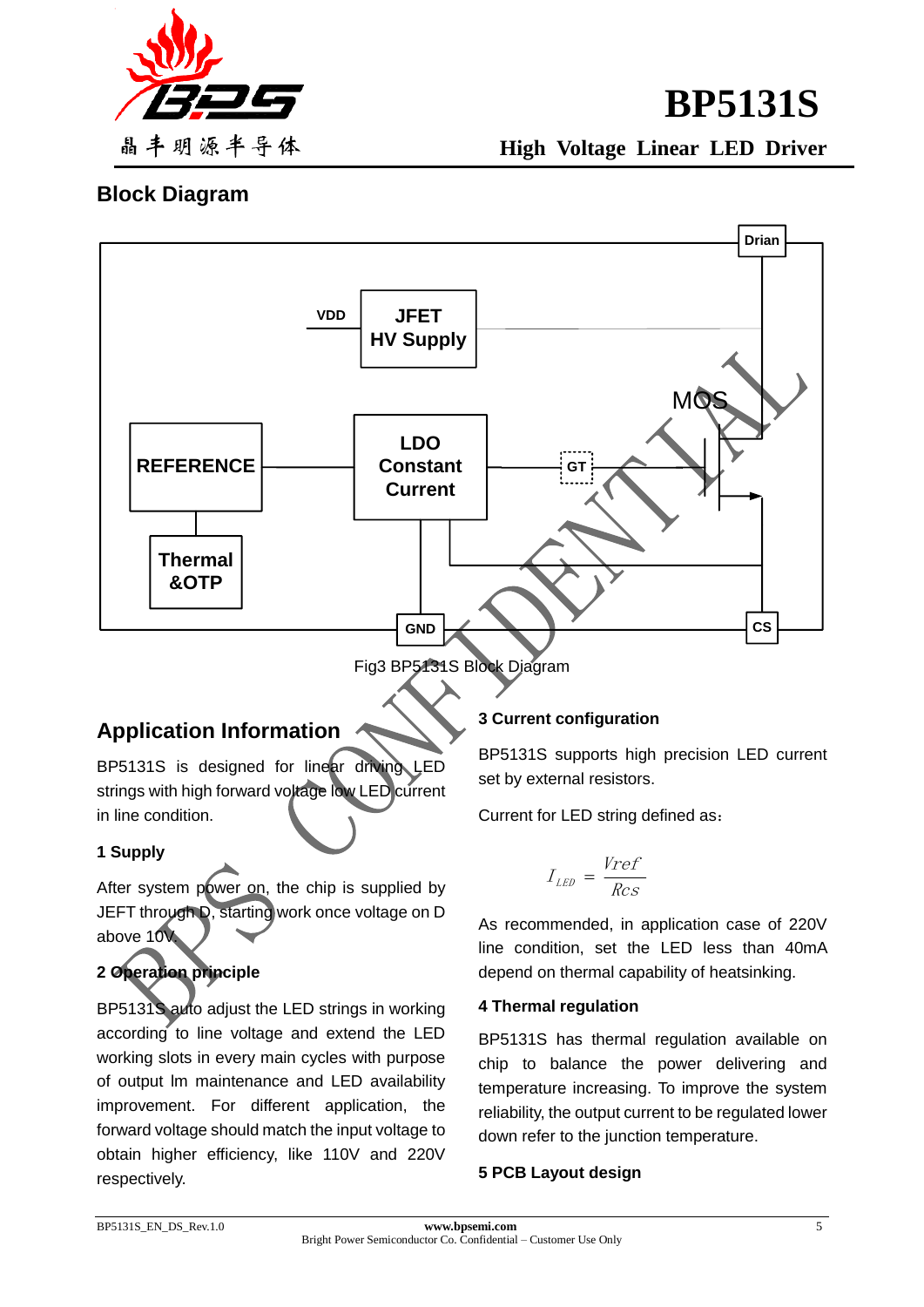

**BP5131S High Voltage Linear LED Driver**

### **Block Diagram**



### **Application Information**

BP5131S is designed for linear driving LED strings with high forward voltage low LED current in line condition.

### **1 Supply**

After system power on, the chip is supplied by JEFT through D, starting work once voltage on D above 10V.

### **2 Operation principle**

BP5131S auto adjust the LED strings in working according to line voltage and extend the LED working slots in every main cycles with purpose of output lm maintenance and LED availability improvement. For different application, the forward voltage should match the input voltage to obtain higher efficiency, like 110V and 220V respectively.

#### **3 Current configuration**

BP5131S supports high precision LED current set by external resistors.

Current for LED string defined as:

$$
I_{LED} = \frac{Vref}{Rcs}
$$

As recommended, in application case of 220V line condition, set the LED less than 40mA depend on thermal capability of heatsinking.

#### **4 Thermal regulation**

BP5131S has thermal regulation available on chip to balance the power delivering and temperature increasing. To improve the system reliability, the output current to be regulated lower down refer to the junction temperature.

#### **5 PCB Layout design**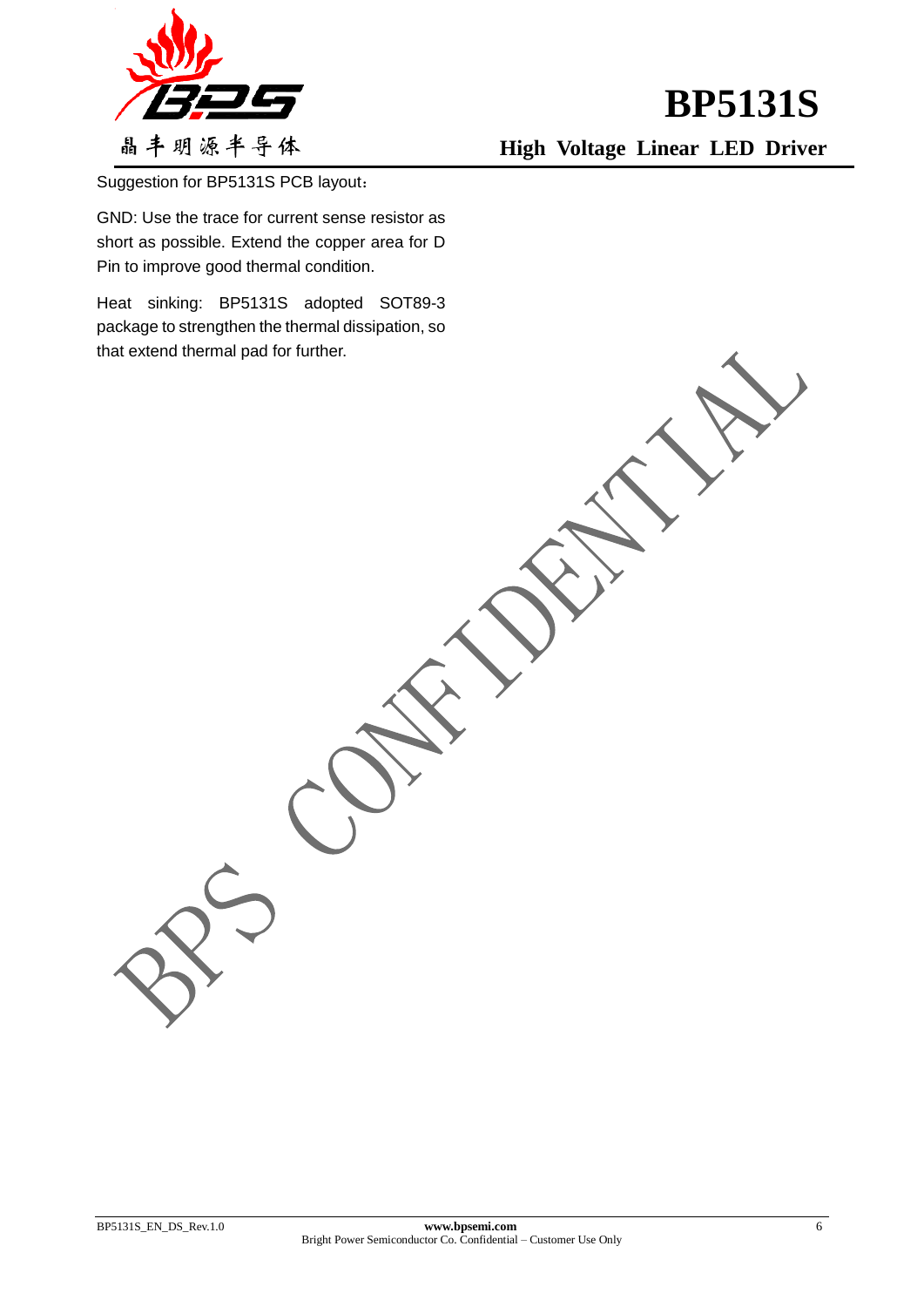

**High Voltage Linear LED Driver**

Suggestion for BP5131S PCB layout:

GND: Use the trace for current sense resistor as short as possible. Extend the copper area for D Pin to improve good thermal condition.

Heat sinking: BP5131S adopted SOT89-3 package to strengthen the thermal dissipation, so that extend thermal pad for further.